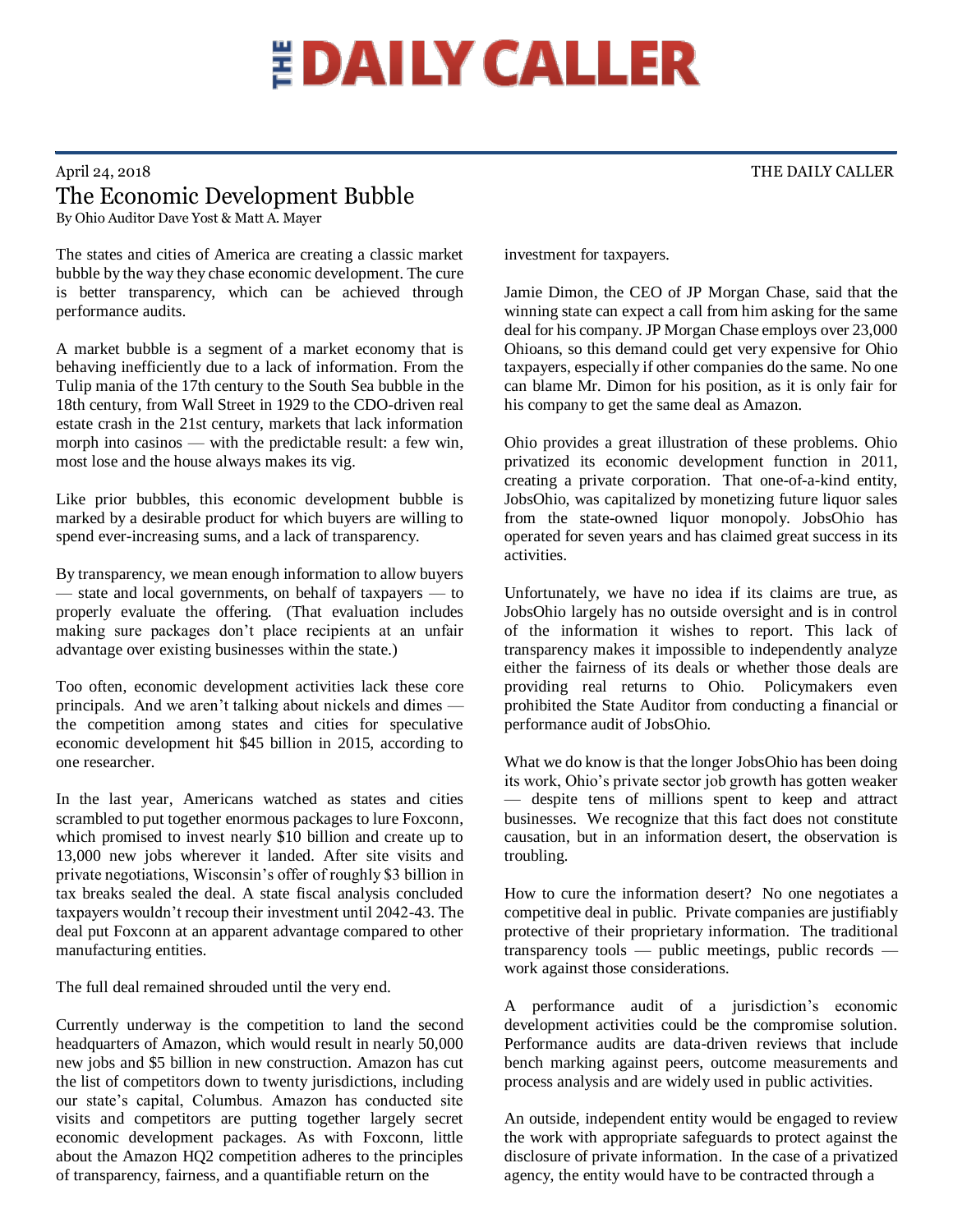## **EDAILY CALLER**

## April 24, 2018 THE DAILY CALLER The Economic Development Bubble By Ohio Auditor Dave Yost & Matt A. Mayer

The states and cities of America are creating a classic market bubble by the way they chase economic development. The cure is better transparency, which can be achieved through performance audits.

A market bubble is a segment of a market economy that is behaving inefficiently due to a lack of information. From the Tulip mania of the 17th century to the South Sea bubble in the 18th century, from Wall Street in 1929 to the CDO-driven real estate crash in the 21st century, markets that lack information morph into casinos — with the predictable result: a few win, most lose and the house always makes its vig.

Like prior bubbles, this economic development bubble is marked by a desirable product for which buyers are willing to spend ever-increasing sums, and a lack of transparency.

By transparency, we mean enough information to allow buyers — state and local governments, on behalf of taxpayers — to properly evaluate the offering. (That evaluation includes making sure packages don't place recipients at an unfair advantage over existing businesses within the state.)

Too often, economic development activities lack these core principals. And we aren't talking about nickels and dimes the competition among states and cities for speculative economic development hit \$45 billion in 2015, according to one researcher.

In the last year, Americans watched as states and cities scrambled to put together enormous packages to lure Foxconn, which promised to invest nearly \$10 billion and create up to 13,000 new jobs wherever it landed. After site visits and private negotiations, Wisconsin's offer of roughly \$3 billion in tax breaks sealed the deal. A state fiscal analysis concluded taxpayers wouldn't recoup their investment until 2042-43. The deal put Foxconn at an apparent advantage compared to other manufacturing entities.

The full deal remained shrouded until the very end.

Currently underway is the competition to land the second headquarters of Amazon, which would result in nearly 50,000 new jobs and \$5 billion in new construction. Amazon has cut the list of competitors down to twenty jurisdictions, including our state's capital, Columbus. Amazon has conducted site visits and competitors are putting together largely secret economic development packages. As with Foxconn, little about the Amazon HQ2 competition adheres to the principles of transparency, fairness, and a quantifiable return on the

investment for taxpayers.

Jamie Dimon, the CEO of JP Morgan Chase, said that the winning state can expect a call from him asking for the same deal for his company. JP Morgan Chase employs over 23,000 Ohioans, so this demand could get very expensive for Ohio taxpayers, especially if other companies do the same. No one can blame Mr. Dimon for his position, as it is only fair for his company to get the same deal as Amazon.

Ohio provides a great illustration of these problems. Ohio privatized its economic development function in 2011, creating a private corporation. That one-of-a-kind entity, JobsOhio, was capitalized by monetizing future liquor sales from the state-owned liquor monopoly. JobsOhio has operated for seven years and has claimed great success in its activities.

Unfortunately, we have no idea if its claims are true, as JobsOhio largely has no outside oversight and is in control of the information it wishes to report. This lack of transparency makes it impossible to independently analyze either the fairness of its deals or whether those deals are providing real returns to Ohio. Policymakers even prohibited the State Auditor from conducting a financial or performance audit of JobsOhio.

What we do know is that the longer JobsOhio has been doing its work, Ohio's private sector job growth has gotten weaker — despite tens of millions spent to keep and attract businesses. We recognize that this fact does not constitute causation, but in an information desert, the observation is troubling.

How to cure the information desert? No one negotiates a competitive deal in public. Private companies are justifiably protective of their proprietary information. The traditional transparency tools — public meetings, public records work against those considerations.

A performance audit of a jurisdiction's economic development activities could be the compromise solution. Performance audits are data-driven reviews that include bench marking against peers, outcome measurements and process analysis and are widely used in public activities.

An outside, independent entity would be engaged to review the work with appropriate safeguards to protect against the disclosure of private information. In the case of a privatized agency, the entity would have to be contracted through a